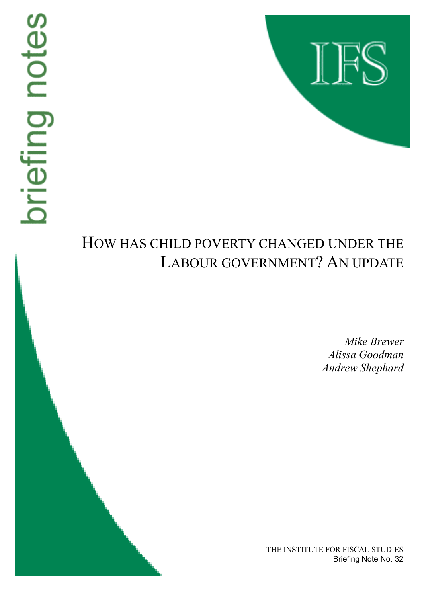# briefing notes



# HOW HAS CHILD POVERTY CHANGED UNDER THE LABOUR GOVERNMENT? AN UPDATE

*Mike Brewer Alissa Goodman Andrew Shephard*

THE INSTITUTE FOR FISCAL STUDIES Briefing Note No. 32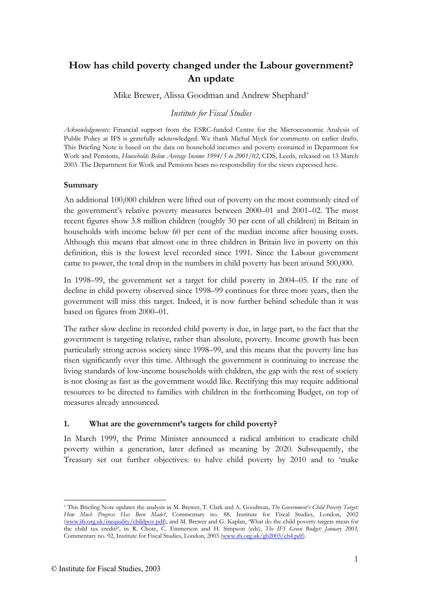## **How has child poverty changed under the Labour government? An update**

Mike Brewer, Alissa Goodman and Andrew Shephard\*

### *Institute for Fiscal Studies*

*Acknowledgements:* Financial support from the ESRC-funded Centre for the Microeconomic Analysis of Public Policy at IFS is gratefully acknowledged. We thank Michal Myck for comments on earlier drafts. This Briefing Note is based on the data on household incomes and poverty contained in Department for Work and Pensions, *Households Below Average Income 1994/5 to 2001/02*, CDS, Leeds, released on 13 March 2003. The Department for Work and Pensions bears no responsibility for the views expressed here.

### **Summary**

An additional 100,000 children were lifted out of poverty on the most commonly cited of the government's relative poverty measures between 2000–01 and 2001–02. The most recent figures show 3.8 million children (roughly 30 per cent of all children) in Britain in households with income below 60 per cent of the median income after housing costs. Although this means that almost one in three children in Britain live in poverty on this definition, this is the lowest level recorded since 1991. Since the Labour government came to power, the total drop in the numbers in child poverty has been around 500,000.

In 1998–99, the government set a target for child poverty in 2004–05. If the rate of decline in child poverty observed since 1998–99 continues for three more years, then the government will miss this target. Indeed, it is now further behind schedule than it was based on figures from 2000–01.

The rather slow decline in recorded child poverty is due, in large part, to the fact that the government is targeting relative, rather than absolute, poverty. Income growth has been particularly strong across society since 1998–99, and this means that the poverty line has risen significantly over this time. Although the government is continuing to increase the living standards of low-income households with children, the gap with the rest of society is not closing as fast as the government would like. Rectifying this may require additional resources to be directed to families with children in the forthcoming Budget, on top of measures already announced.

### **1. What are the government's targets for child poverty?**

In March 1999, the Prime Minister announced a radical ambition to eradicate child poverty within a generation, later defined as meaning by 2020. Subsequently, the Treasury set out further objectives: to halve child poverty by 2010 and to 'make

<sup>\*</sup> This Briefing Note updates the analysis in M. Brewer, T. Clark and A. Goodman, *The Government's Child Poverty Target: How Much Progress Has Been Made?*, Commentary no. 88, Institute for Fiscal Studies, London, 2002 (www.ifs.org.uk/inequality/childpov.pdf), and M. Brewer and G. Kaplan, 'What do the child poverty targets mean for the child tax credit?', in R. Chote, C. Emmerson and H. Simpson (eds), *The IFS Green Budget: January 2003*, Commentary no. 92, Institute for Fiscal Studies, London, 2003 (www.ifs.org.uk/gb2003/ch4.pdf).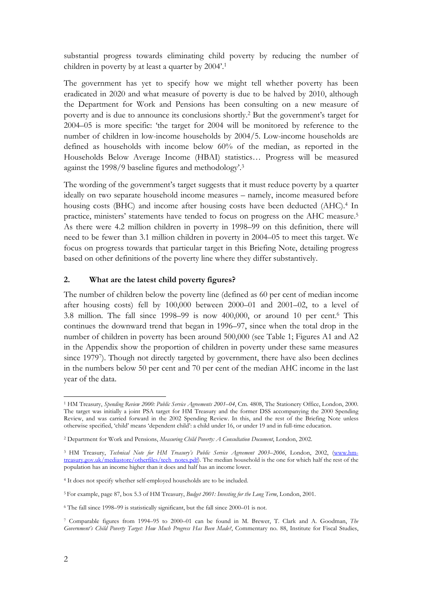substantial progress towards eliminating child poverty by reducing the number of children in poverty by at least a quarter by 2004'.1

The government has yet to specify how we might tell whether poverty has been eradicated in 2020 and what measure of poverty is due to be halved by 2010, although the Department for Work and Pensions has been consulting on a new measure of poverty and is due to announce its conclusions shortly.2 But the government's target for 2004–05 is more specific: 'the target for 2004 will be monitored by reference to the number of children in low-income households by 2004/5. Low-income households are defined as households with income below 60% of the median, as reported in the Households Below Average Income (HBAI) statistics… Progress will be measured against the 1998/9 baseline figures and methodology'.3

The wording of the government's target suggests that it must reduce poverty by a quarter ideally on two separate household income measures – namely, income measured before housing costs (BHC) and income after housing costs have been deducted (AHC).<sup>4</sup> In practice, ministers' statements have tended to focus on progress on the AHC measure.5 As there were 4.2 million children in poverty in 1998–99 on this definition, there will need to be fewer than 3.1 million children in poverty in 2004–05 to meet this target. We focus on progress towards that particular target in this Briefing Note, detailing progress based on other definitions of the poverty line where they differ substantively.

### **2. What are the latest child poverty figures?**

The number of children below the poverty line (defined as 60 per cent of median income after housing costs) fell by 100,000 between 2000–01 and 2001–02, to a level of 3.8 million. The fall since  $1998-99$  is now  $400,000$ , or around 10 per cent.<sup>6</sup> This continues the downward trend that began in 1996–97, since when the total drop in the number of children in poverty has been around 500,000 (see Table 1; Figures A1 and A2 in the Appendix show the proportion of children in poverty under these same measures since 19797). Though not directly targeted by government, there have also been declines in the numbers below 50 per cent and 70 per cent of the median AHC income in the last year of the data.

<sup>1</sup> HM Treasury, *Spending Review 2000: Public Service Agreements 2001–04*, Cm. 4808, The Stationery Office, London, 2000. The target was initially a joint PSA target for HM Treasury and the former DSS accompanying the 2000 Spending Review, and was carried forward in the 2002 Spending Review. In this, and the rest of the Briefing Note unless otherwise specified, 'child' means 'dependent child': a child under 16, or under 19 and in full-time education.

<sup>2</sup> Department for Work and Pensions, *Measuring Child Poverty: A Consultation Document*, London, 2002.

<sup>&</sup>lt;sup>3</sup> HM Treasury, *Technical Note for HM Treasury's Public Service Agreement 2003-2006*, London, 2002, (www.hmtreasury.gov.uk/mediastore/otherfiles/tech\_notes.pdf). The median household is the one for which half the rest of the population has an income higher than it does and half has an income lower.

<sup>4</sup> It does not specify whether self-employed households are to be included.

<sup>5</sup> For example, page 87, box 5.3 of HM Treasury, *Budget 2001: Investing for the Long Term*, London, 2001.

<sup>6</sup> The fall since 1998–99 is statistically significant, but the fall since 2000–01 is not.

<sup>7</sup> Comparable figures from 1994–95 to 2000–01 can be found in M. Brewer, T. Clark and A. Goodman, *The Government's Child Poverty Target: How Much Progress Has Been Made?*, Commentary no. 88, Institute for Fiscal Studies,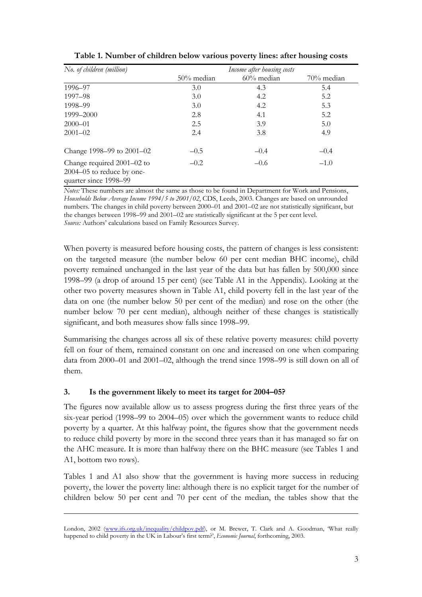| No. of children (million)                                                        | Income after housing costs |               |               |  |
|----------------------------------------------------------------------------------|----------------------------|---------------|---------------|--|
|                                                                                  | $50\%$ median              | $60\%$ median | $70\%$ median |  |
| 1996-97                                                                          | 3.0                        | 4.3           | 5.4           |  |
| 1997–98                                                                          | 3.0                        | 4.2           | 5.2           |  |
| 1998-99                                                                          | 3.0                        | 4.2           | 5.3           |  |
| 1999–2000                                                                        | 2.8                        | 4.1           | 5.2           |  |
| $2000 - 01$                                                                      | 2.5                        | 3.9           | 5.0           |  |
| $2001 - 02$                                                                      | 2.4                        | 3.8           | 4.9           |  |
| Change 1998–99 to 2001–02                                                        | $-0.5$                     | $-0.4$        | $-0.4$        |  |
| Change required 2001-02 to<br>2004–05 to reduce by one-<br>quarter since 1998-99 | $-0.2$                     | $-0.6$        | $-1.0$        |  |

**Table 1. Number of children below various poverty lines: after housing costs** 

*Notes:* These numbers are almost the same as those to be found in Department for Work and Pensions, *Households Below Average Income 1994/5 to 2001/02*, CDS, Leeds, 2003. Changes are based on unrounded numbers. The changes in child poverty between 2000–01 and 2001–02 are not statistically significant, but the changes between 1998–99 and 2001–02 are statistically significant at the 5 per cent level. *Source:* Authors' calculations based on Family Resources Survey.

When poverty is measured before housing costs, the pattern of changes is less consistent: on the targeted measure (the number below 60 per cent median BHC income), child poverty remained unchanged in the last year of the data but has fallen by 500,000 since 1998–99 (a drop of around 15 per cent) (see Table A1 in the Appendix). Looking at the other two poverty measures shown in Table A1, child poverty fell in the last year of the data on one (the number below 50 per cent of the median) and rose on the other (the number below 70 per cent median), although neither of these changes is statistically significant, and both measures show falls since 1998–99.

Summarising the changes across all six of these relative poverty measures: child poverty fell on four of them, remained constant on one and increased on one when comparing data from 2000–01 and 2001–02, although the trend since 1998–99 is still down on all of them.

### **3. Is the government likely to meet its target for 2004–05?**

 $\overline{a}$ 

The figures now available allow us to assess progress during the first three years of the six-year period (1998–99 to 2004–05) over which the government wants to reduce child poverty by a quarter. At this halfway point, the figures show that the government needs to reduce child poverty by more in the second three years than it has managed so far on the AHC measure. It is more than halfway there on the BHC measure (see Tables 1 and A1, bottom two rows).

Tables 1 and A1 also show that the government is having more success in reducing poverty, the lower the poverty line: although there is no explicit target for the number of children below 50 per cent and 70 per cent of the median, the tables show that the

London, 2002 (www.ifs.org.uk/inequality/childpov.pdf), or M. Brewer, T. Clark and A. Goodman, 'What really happened to child poverty in the UK in Labour's first term?', *Economic Journal*, forthcoming, 2003.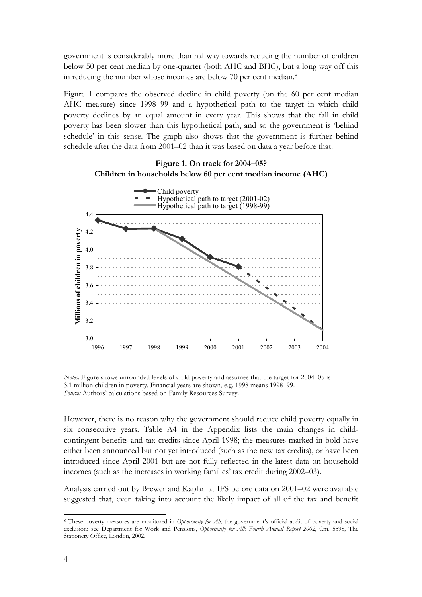government is considerably more than halfway towards reducing the number of children below 50 per cent median by one-quarter (both AHC and BHC), but a long way off this in reducing the number whose incomes are below 70 per cent median.<sup>8</sup>

Figure 1 compares the observed decline in child poverty (on the 60 per cent median AHC measure) since 1998–99 and a hypothetical path to the target in which child poverty declines by an equal amount in every year. This shows that the fall in child poverty has been slower than this hypothetical path, and so the government is 'behind schedule' in this sense. The graph also shows that the government is further behind schedule after the data from 2001–02 than it was based on data a year before that.



*Notes:* Figure shows unrounded levels of child poverty and assumes that the target for 2004–05 is 3.1 million children in poverty. Financial years are shown, e.g. 1998 means 1998–99. *Source:* Authors' calculations based on Family Resources Survey.

However, there is no reason why the government should reduce child poverty equally in six consecutive years. Table A4 in the Appendix lists the main changes in childcontingent benefits and tax credits since April 1998; the measures marked in bold have either been announced but not yet introduced (such as the new tax credits), or have been introduced since April 2001 but are not fully reflected in the latest data on household incomes (such as the increases in working families' tax credit during 2002–03).

Analysis carried out by Brewer and Kaplan at IFS before data on 2001–02 were available suggested that, even taking into account the likely impact of all of the tax and benefit

<sup>8</sup> These poverty measures are monitored in *Opportunity for All,* the government's official audit of poverty and social exclusion: see Department for Work and Pensions, *Opportunity for All: Fourth Annual Report 2002*, Cm. 5598, The Stationery Office, London, 2002.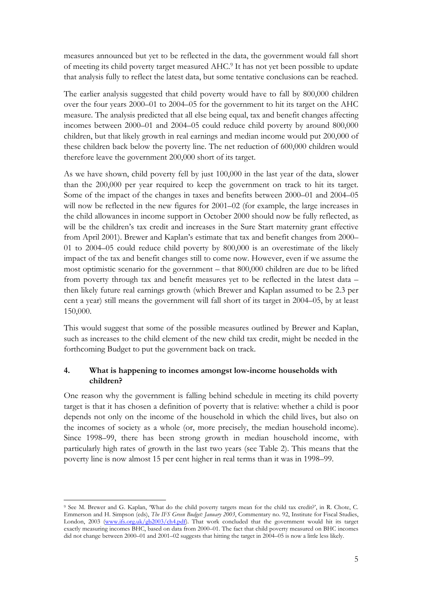measures announced but yet to be reflected in the data, the government would fall short of meeting its child poverty target measured AHC.9 It has not yet been possible to update that analysis fully to reflect the latest data, but some tentative conclusions can be reached.

The earlier analysis suggested that child poverty would have to fall by 800,000 children over the four years 2000–01 to 2004–05 for the government to hit its target on the AHC measure. The analysis predicted that all else being equal, tax and benefit changes affecting incomes between 2000–01 and 2004–05 could reduce child poverty by around 800,000 children, but that likely growth in real earnings and median income would put 200,000 of these children back below the poverty line. The net reduction of 600,000 children would therefore leave the government 200,000 short of its target.

As we have shown, child poverty fell by just 100,000 in the last year of the data, slower than the 200,000 per year required to keep the government on track to hit its target. Some of the impact of the changes in taxes and benefits between 2000–01 and 2004–05 will now be reflected in the new figures for 2001–02 (for example, the large increases in the child allowances in income support in October 2000 should now be fully reflected, as will be the children's tax credit and increases in the Sure Start maternity grant effective from April 2001). Brewer and Kaplan's estimate that tax and benefit changes from 2000– 01 to 2004–05 could reduce child poverty by 800,000 is an overestimate of the likely impact of the tax and benefit changes still to come now. However, even if we assume the most optimistic scenario for the government – that 800,000 children are due to be lifted from poverty through tax and benefit measures yet to be reflected in the latest data – then likely future real earnings growth (which Brewer and Kaplan assumed to be 2.3 per cent a year) still means the government will fall short of its target in 2004–05, by at least 150,000.

This would suggest that some of the possible measures outlined by Brewer and Kaplan, such as increases to the child element of the new child tax credit, might be needed in the forthcoming Budget to put the government back on track.

### **4. What is happening to incomes amongst low-income households with children?**

One reason why the government is falling behind schedule in meeting its child poverty target is that it has chosen a definition of poverty that is relative: whether a child is poor depends not only on the income of the household in which the child lives, but also on the incomes of society as a whole (or, more precisely, the median household income). Since 1998–99, there has been strong growth in median household income, with particularly high rates of growth in the last two years (see Table 2). This means that the poverty line is now almost 15 per cent higher in real terms than it was in 1998–99.

 $\overline{a}$ 9 See M. Brewer and G. Kaplan, 'What do the child poverty targets mean for the child tax credit?', in R. Chote, C. Emmerson and H. Simpson (eds), *The IFS Green Budget: January 2003*, Commentary no. 92, Institute for Fiscal Studies, London, 2003 (www.ifs.org.uk/gb2003/ch4.pdf). That work concluded that the government would hit its target exactly measuring incomes BHC, based on data from 2000–01. The fact that child poverty measured on BHC incomes did not change between 2000–01 and 2001–02 suggests that hitting the target in 2004–05 is now a little less likely.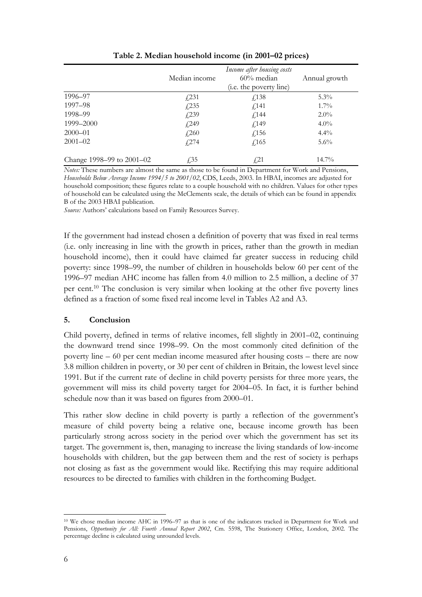|                           | Median income | Annual growth                             |          |  |
|---------------------------|---------------|-------------------------------------------|----------|--|
| 1996–97                   | $\sqrt{231}$  | ( <i>i.e.</i> the poverty line)<br>f(138) | $5.3\%$  |  |
| 1997–98                   | f(235)        | f(141)                                    | $1.7\%$  |  |
| 1998-99                   | f(239)        | f(144)                                    | $2.0\%$  |  |
| 1999–2000                 | f(249)        | f(149)                                    | $4.0\%$  |  |
| $2000 - 01$               | $\sqrt{260}$  | f(156)                                    | $4.4\%$  |  |
| $2001 - 02$               | f274          | f(165)                                    | $5.6\%$  |  |
| Change 1998–99 to 2001–02 | $\sqrt{.}35$  | $\sqrt{21}$                               | $14.7\%$ |  |

**Table 2. Median household income (in 2001–02 prices)** 

*Notes:* These numbers are almost the same as those to be found in Department for Work and Pensions, *Households Below Average Income 1994/5 to 2001/02*, CDS, Leeds, 2003. In HBAI, incomes are adjusted for household composition; these figures relate to a couple household with no children. Values for other types of household can be calculated using the McClements scale, the details of which can be found in appendix B of the 2003 HBAI publication.

*Source:* Authors' calculations based on Family Resources Survey.

If the government had instead chosen a definition of poverty that was fixed in real terms (i.e. only increasing in line with the growth in prices, rather than the growth in median household income), then it could have claimed far greater success in reducing child poverty: since 1998–99, the number of children in households below 60 per cent of the 1996–97 median AHC income has fallen from 4.0 million to 2.5 million, a decline of 37 per cent.10 The conclusion is very similar when looking at the other five poverty lines defined as a fraction of some fixed real income level in Tables A2 and A3.

### **5. Conclusion**

Child poverty, defined in terms of relative incomes, fell slightly in 2001–02, continuing the downward trend since 1998–99. On the most commonly cited definition of the poverty line – 60 per cent median income measured after housing costs – there are now 3.8 million children in poverty, or 30 per cent of children in Britain, the lowest level since 1991. But if the current rate of decline in child poverty persists for three more years, the government will miss its child poverty target for 2004–05. In fact, it is further behind schedule now than it was based on figures from 2000–01.

This rather slow decline in child poverty is partly a reflection of the government's measure of child poverty being a relative one, because income growth has been particularly strong across society in the period over which the government has set its target. The government is, then, managing to increase the living standards of low-income households with children, but the gap between them and the rest of society is perhaps not closing as fast as the government would like. Rectifying this may require additional resources to be directed to families with children in the forthcoming Budget.

<sup>10</sup> We chose median income AHC in 1996–97 as that is one of the indicators tracked in Department for Work and Pensions, *Opportunity for All: Fourth Annual Report 2002*, Cm. 5598, The Stationery Office, London, 2002. The percentage decline is calculated using unrounded levels.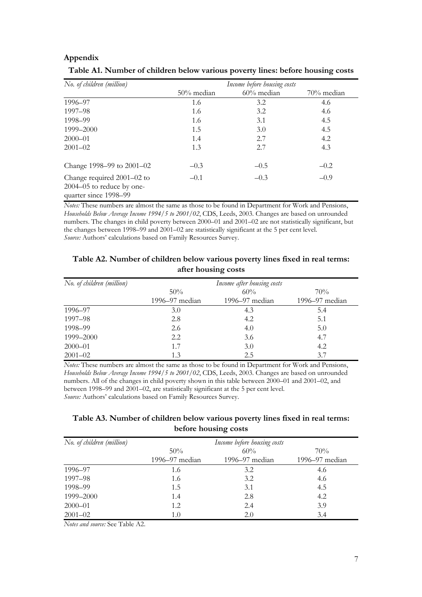|                                                                                  |                                |        | $\cdot$    |  |
|----------------------------------------------------------------------------------|--------------------------------|--------|------------|--|
| No. of children (million)                                                        | Income before housing costs    |        |            |  |
|                                                                                  | $60\%$ median<br>$50\%$ median |        | 70% median |  |
| 1996-97                                                                          | 1.6                            | 3.2    | 4.6        |  |
| 1997-98                                                                          | 1.6                            | 3.2    | 4.6        |  |
| 1998-99                                                                          | 1.6                            | 3.1    | 4.5        |  |
| 1999–2000                                                                        | 1.5                            | 3.0    | 4.5        |  |
| $2000 - 01$                                                                      | 1.4                            | 2.7    | 4.2        |  |
| $2001 - 02$                                                                      | 1.3                            | 2.7    | 4.3        |  |
| Change 1998–99 to 2001–02                                                        | $-0.3$                         | $-0.5$ | $-0.2$     |  |
| Change required 2001-02 to<br>2004–05 to reduce by one-<br>quarter since 1998-99 | $-0.1$                         | $-0.3$ | $-0.9$     |  |

### **Table A1. Number of children below various poverty lines: before housing costs**

*Notes:* These numbers are almost the same as those to be found in Department for Work and Pensions, *Households Below Average Income 1994/5 to 2001/02*, CDS, Leeds, 2003. Changes are based on unrounded numbers. The changes in child poverty between 2000–01 and 2001–02 are not statistically significant, but the changes between 1998–99 and 2001–02 are statistically significant at the 5 per cent level. *Source:* Authors' calculations based on Family Resources Survey.

### **Table A2. Number of children below various poverty lines fixed in real terms: after housing costs**

| No. of children (million) | Income after housing costs |                    |                |  |
|---------------------------|----------------------------|--------------------|----------------|--|
|                           | 50%                        | 60%                | 70%            |  |
|                           | 1996–97 median             | $1996 - 97$ median | 1996-97 median |  |
| 1996–97                   | 3.0                        | 4.3                | 5.4            |  |
| 1997-98                   | 2.8                        | 4.2                | 5.1            |  |
| 1998–99                   | 2.6                        | 4.0                | 5.0            |  |
| 1999-2000                 | 2.2                        | 3.6                | 4.7            |  |
| $2000 - 01$               | 1.7                        | 3.0                | 4.2            |  |
| $2001 - 02$               | 1.3                        | 2.5                | 3.7            |  |

*Notes:* These numbers are almost the same as those to be found in Department for Work and Pensions, *Households Below Average Income 1994/5 to 2001/02*, CDS, Leeds, 2003. Changes are based on unrounded numbers. All of the changes in child poverty shown in this table between 2000–01 and 2001–02, and between 1998–99 and 2001–02, are statistically significant at the 5 per cent level. *Source:* Authors' calculations based on Family Resources Survey.

### **Table A3. Number of children below various poverty lines fixed in real terms: before housing costs**

| No. of children (million) |                | Income before housing costs |                    |  |
|---------------------------|----------------|-----------------------------|--------------------|--|
|                           | 50%            | 60%                         | 70%                |  |
|                           | 1996–97 median | $1996 - 97$ median          | $1996 - 97$ median |  |
| 1996-97                   | 1.6            | 3.2                         | 4.6                |  |
| 1997–98                   | 1.6            | 3.2                         | 4.6                |  |
| 1998–99                   | 1.5            | 3.1                         | 4.5                |  |
| 1999-2000                 | 1.4            | 2.8                         | 4.2                |  |
| $2000 - 01$               | 1.2            | 2.4                         | 3.9                |  |
| $2001 - 02$               | 1.0            | 2.0                         | 3.4                |  |

*Notes and source:* See Table A2.

**Appendix**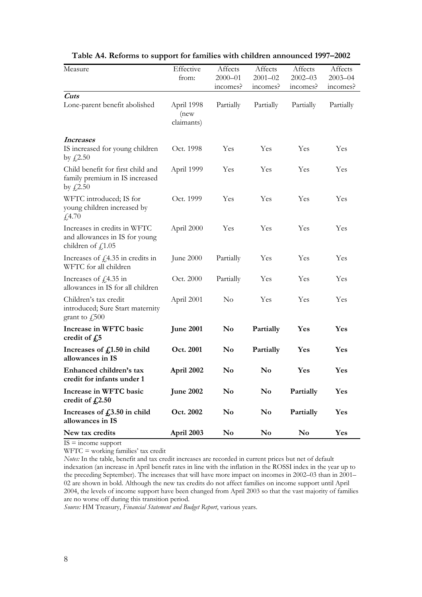| Measure                                                                                         | Effective<br>from:               | Affects<br>$2000 - 01$ | Affects<br>$2001 - 02$ | Affects<br>$2002 - 03$ | Affects<br>$2003 - 04$ |
|-------------------------------------------------------------------------------------------------|----------------------------------|------------------------|------------------------|------------------------|------------------------|
|                                                                                                 |                                  | incomes?               | incomes?               | incomes?               | incomes?               |
| Cuts                                                                                            |                                  |                        |                        |                        |                        |
| Lone-parent benefit abolished                                                                   | April 1998<br>(new<br>claimants) | Partially              | Partially              | Partially              | Partially              |
| <i>Increases</i>                                                                                |                                  |                        |                        |                        |                        |
| IS increased for young children<br>by $\text{\textsterling}2.50$                                | Oct. 1998                        | Yes                    | Yes                    | Yes                    | Yes                    |
| Child benefit for first child and<br>family premium in IS increased<br>by $f(2.50)$             | April 1999                       | Yes                    | Yes                    | Yes                    | Yes                    |
| WFTC introduced; IS for<br>young children increased by<br>£4.70                                 | Oct. 1999                        | Yes                    | Yes                    | Yes                    | Yes                    |
| Increases in credits in WFTC<br>and allowances in IS for young<br>children of $f$ , 1.05        | April 2000                       | Yes                    | Yes                    | Yes                    | Yes                    |
| Increases of $f$ 4.35 in credits in<br>WFTC for all children                                    | June 2000                        | Partially              | Yes                    | Yes                    | Yes                    |
| Increases of $f(4.35 \text{ in})$<br>allowances in IS for all children                          | Oct. 2000                        | Partially              | Yes                    | Yes                    | Yes                    |
| Children's tax credit<br>introduced; Sure Start maternity<br>grant to $\text{\textsterling}500$ | April 2001                       | $\rm No$               | Yes                    | Yes                    | Yes                    |
| Increase in WFTC basic<br>credit of $f_{\nu}$ 5                                                 | <b>June 2001</b>                 | $\mathbf{N}\mathbf{o}$ | Partially              | Yes                    | Yes                    |
| Increases of $f_{1.50}$ in child<br>allowances in IS                                            | Oct. 2001                        | No                     | Partially              | Yes                    | Yes                    |
| Enhanced children's tax<br>credit for infants under 1                                           | April 2002                       | $\mathbf{N}\mathbf{o}$ | $\mathbf{N}\mathbf{o}$ | Yes                    | Yes                    |
| Increase in WFTC basic<br>credit of $f_{\rm s}$ 2.50                                            | <b>June 2002</b>                 | No                     | No                     | Partially              | Yes                    |
| Increases of $f03.50$ in child<br>allowances in IS                                              | Oct. 2002                        | No                     | No                     | Partially              | Yes                    |
| New tax credits                                                                                 | April 2003                       | $\mathbf{N}\mathbf{o}$ | $\mathbf{N}\mathbf{o}$ | No                     | Yes                    |

### **Table A4. Reforms to support for families with children announced 1997–2002**

 $IS = income support$ 

WFTC = working families' tax credit

*Notes:* In the table, benefit and tax credit increases are recorded in current prices but net of default indexation (an increase in April benefit rates in line with the inflation in the ROSSI index in the year up to the preceding September). The increases that will have more impact on incomes in 2002–03 than in 2001– 02 are shown in bold. Although the new tax credits do not affect families on income support until April 2004, the levels of income support have been changed from April 2003 so that the vast majority of families are no worse off during this transition period.

*Source:* HM Treasury, *Financial Statement and Budget Report*, various years.